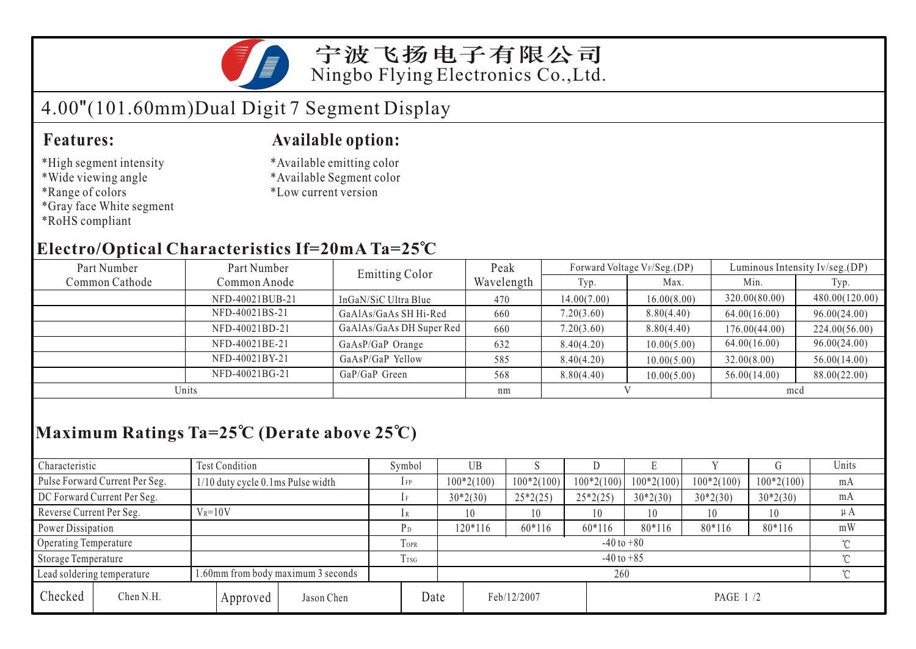

## 宁波飞扬电子有限公司 Ningbo Flying Electronics Co.,Ltd.

# 4.00"(101.60mm)Dual Digit 7 Segment Display

#### **Features:**

- \*High segment intensity
- \*Wide viewing angle
- \*Range of colors
- \*Gray face White segment
- \*RoHS compliant

#### **Available option:**

- \*Available emitting color
- \*Available Segment color
- \*Low current version

### **Electro/Optical Characteristics If=20mA Ta=25 C**

| Part Number    | Part Number     | <b>Emitting Color</b>    | Peak       |             | Forward Voltage VF/Seg.(DP) | Luminous Intensity Iv/seg.(DP) |                |  |
|----------------|-----------------|--------------------------|------------|-------------|-----------------------------|--------------------------------|----------------|--|
| Common Cathode | Common Anode    |                          | Wavelength | Typ.        | Max.                        | Min.                           | Typ.           |  |
|                | NFD-40021BUB-21 | InGaN/SiC Ultra Blue     | 470        | 14.00(7.00) | 16.00(8.00)                 | 320.00(80.00)                  | 480.00(120.00) |  |
|                | NFD-40021BS-21  | GaAlAs/GaAs SH Hi-Red    | 660        | 7.20(3.60)  | 8.80(4.40)                  | 64.00(16.00)                   | 96.00(24.00)   |  |
|                | NFD-40021BD-21  | GaAlAs/GaAs DH Super Red | 660        | 7.20(3.60)  | 8.80(4.40)                  | 176.00(44.00)                  | 224.00(56.00)  |  |
|                | NFD-40021BE-21  | GaAsP/GaP Orange         | 632        | 8.40(4.20)  | 10.00(5.00)                 | 64.00(16.00)                   | 96.00(24.00)   |  |
|                | NFD-40021BY-21  | GaAsP/GaP Yellow         | 585        | 8.40(4.20)  | 10.00(5.00)                 | 32.00(8.00)                    | 56.00(14.00)   |  |
| NFD-40021BG-21 |                 | GaP/GaP Green            | 568        | 8.80(4.40)  | 10.00(5.00)                 | 56.00(14.00)                   | 88.00(22.00)   |  |
| Units          |                 |                          | nm         |             |                             | mcd                            |                |  |

## **Maximum Ratings Ta=25 C (Derate above 25 C)**

| Characteristic              |                                                                 | Test Condition                    |                            | Symbol         | <b>UB</b>    |              |              | L.           |              |              | Units  |  |
|-----------------------------|-----------------------------------------------------------------|-----------------------------------|----------------------------|----------------|--------------|--------------|--------------|--------------|--------------|--------------|--------|--|
|                             | Pulse Forward Current Per Seg.                                  | 1/10 duty cycle 0.1ms Pulse width |                            | $1$ FP         | $100*2(100)$ | $100*2(100)$ | $100*2(100)$ | $100*2(100)$ | $100*2(100)$ | $100*2(100)$ | mA     |  |
| DC Forward Current Per Seg. |                                                                 |                                   |                            | $30*2(30)$     | $25*2(25)$   | $25*2(25)$   | $30*2(30)$   | $30*2(30)$   | $30*2(30)$   | mA           |        |  |
| Reverse Current Per Seg.    | $V_R = 10V$                                                     |                                   | 1 R                        | 10             | 10           | 10           | 10           | 10           | 10           | $\mu A$      |        |  |
|                             | Power Dissipation                                               |                                   | РD                         | 120*116        | $60*116$     | 60*116       | 80*116       | 80*116       | 80*116       | mW           |        |  |
| Operating Temperature       |                                                                 |                                   | <b>TOPR</b>                | $-40$ to $+80$ |              |              |              |              |              | $\gamma$     |        |  |
| Storage Temperature         |                                                                 | Trsg                              | $\gamma$<br>$-40$ to $+85$ |                |              |              |              |              |              |              |        |  |
|                             | .60mm from body maximum 3 seconds<br>Lead soldering temperature |                                   |                            |                | 260          |              |              |              |              |              | $\sim$ |  |
| Checked                     | Chen N.H.                                                       |                                   | Approved                   | Jason Chen     | Date         |              | Feb/12/2007  |              | PAGE 1 /2    |              |        |  |